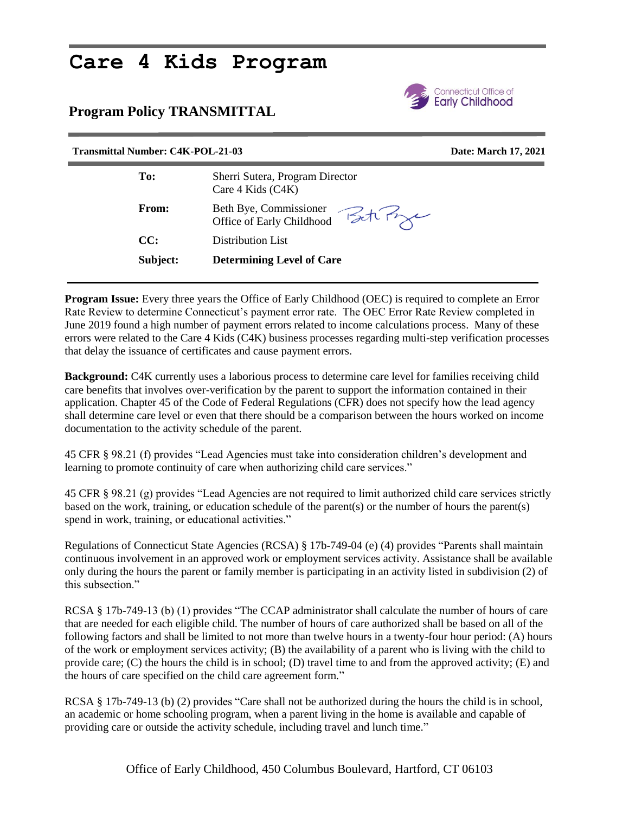# **Care 4 Kids Program**

## **Program Policy TRANSMITTAL**



### **Transmittal Number: C4K-POL-21-03 Date: March 17, 2021**

| To:          | Sherri Sutera, Program Director<br>Care 4 Kids (C4K) |
|--------------|------------------------------------------------------|
| <b>From:</b> | Beth Bye, Commissioner<br>Office of Early Childhood  |
| CC:          | Distribution List                                    |
| Subject:     | <b>Determining Level of Care</b>                     |

**Program Issue:** Every three years the Office of Early Childhood (OEC) is required to complete an Error Rate Review to determine Connecticut's payment error rate. The OEC Error Rate Review completed in June 2019 found a high number of payment errors related to income calculations process. Many of these errors were related to the Care 4 Kids (C4K) business processes regarding multi-step verification processes that delay the issuance of certificates and cause payment errors.

**Background:** C4K currently uses a laborious process to determine care level for families receiving child care benefits that involves over-verification by the parent to support the information contained in their application. Chapter 45 of the Code of Federal Regulations (CFR) does not specify how the lead agency shall determine care level or even that there should be a comparison between the hours worked on income documentation to the activity schedule of the parent.

45 CFR § 98.21 (f) provides "Lead Agencies must take into consideration children's development and learning to promote continuity of care when authorizing child care services."

45 CFR § 98.21 (g) provides "Lead Agencies are not required to limit authorized child care services strictly based on the work, training, or education schedule of the parent(s) or the number of hours the parent(s) spend in work, training, or educational activities."

Regulations of Connecticut State Agencies (RCSA) § 17b-749-04 (e) (4) provides "Parents shall maintain continuous involvement in an approved work or employment services activity. Assistance shall be available only during the hours the parent or family member is participating in an activity listed in subdivision (2) of this subsection."

RCSA § 17b-749-13 (b) (1) provides "The CCAP administrator shall calculate the number of hours of care that are needed for each eligible child. The number of hours of care authorized shall be based on all of the following factors and shall be limited to not more than twelve hours in a twenty-four hour period: (A) hours of the work or employment services activity; (B) the availability of a parent who is living with the child to provide care; (C) the hours the child is in school; (D) travel time to and from the approved activity; (E) and the hours of care specified on the child care agreement form."

RCSA § 17b-749-13 (b) (2) provides "Care shall not be authorized during the hours the child is in school, an academic or home schooling program, when a parent living in the home is available and capable of providing care or outside the activity schedule, including travel and lunch time."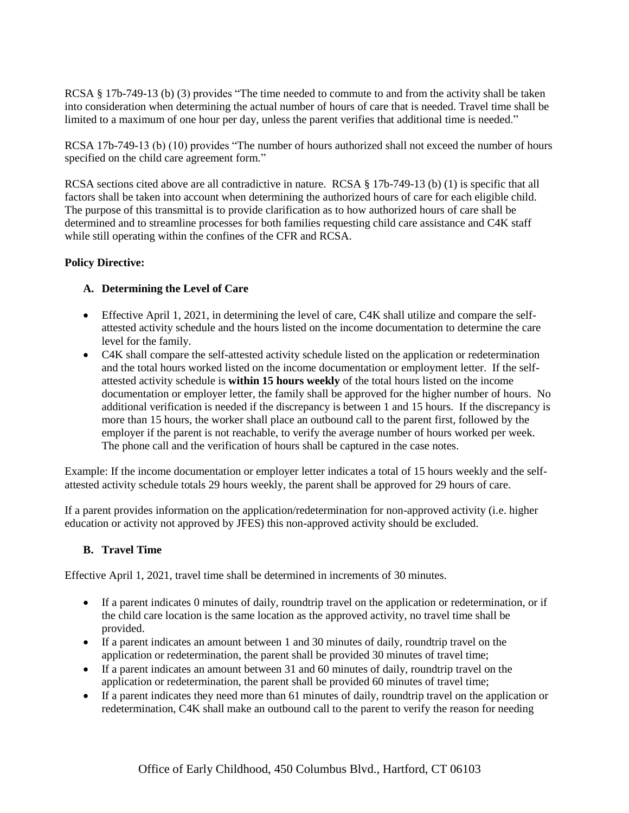RCSA § 17b-749-13 (b) (3) provides "The time needed to commute to and from the activity shall be taken into consideration when determining the actual number of hours of care that is needed. Travel time shall be limited to a maximum of one hour per day, unless the parent verifies that additional time is needed."

RCSA 17b-749-13 (b) (10) provides "The number of hours authorized shall not exceed the number of hours specified on the child care agreement form."

RCSA sections cited above are all contradictive in nature. RCSA § 17b-749-13 (b) (1) is specific that all factors shall be taken into account when determining the authorized hours of care for each eligible child. The purpose of this transmittal is to provide clarification as to how authorized hours of care shall be determined and to streamline processes for both families requesting child care assistance and C4K staff while still operating within the confines of the CFR and RCSA.

#### **Policy Directive:**

#### **A. Determining the Level of Care**

- Effective April 1, 2021, in determining the level of care, C4K shall utilize and compare the selfattested activity schedule and the hours listed on the income documentation to determine the care level for the family.
- C4K shall compare the self-attested activity schedule listed on the application or redetermination and the total hours worked listed on the income documentation or employment letter. If the selfattested activity schedule is **within 15 hours weekly** of the total hours listed on the income documentation or employer letter, the family shall be approved for the higher number of hours. No additional verification is needed if the discrepancy is between 1 and 15 hours. If the discrepancy is more than 15 hours, the worker shall place an outbound call to the parent first, followed by the employer if the parent is not reachable, to verify the average number of hours worked per week. The phone call and the verification of hours shall be captured in the case notes.

Example: If the income documentation or employer letter indicates a total of 15 hours weekly and the selfattested activity schedule totals 29 hours weekly, the parent shall be approved for 29 hours of care.

If a parent provides information on the application/redetermination for non-approved activity (i.e. higher education or activity not approved by JFES) this non-approved activity should be excluded.

#### **B. Travel Time**

Effective April 1, 2021, travel time shall be determined in increments of 30 minutes.

- If a parent indicates 0 minutes of daily, roundtrip travel on the application or redetermination, or if the child care location is the same location as the approved activity, no travel time shall be provided.
- If a parent indicates an amount between 1 and 30 minutes of daily, roundtrip travel on the application or redetermination, the parent shall be provided 30 minutes of travel time;
- If a parent indicates an amount between 31 and 60 minutes of daily, roundtrip travel on the application or redetermination, the parent shall be provided 60 minutes of travel time;
- If a parent indicates they need more than 61 minutes of daily, roundtrip travel on the application or redetermination, C4K shall make an outbound call to the parent to verify the reason for needing